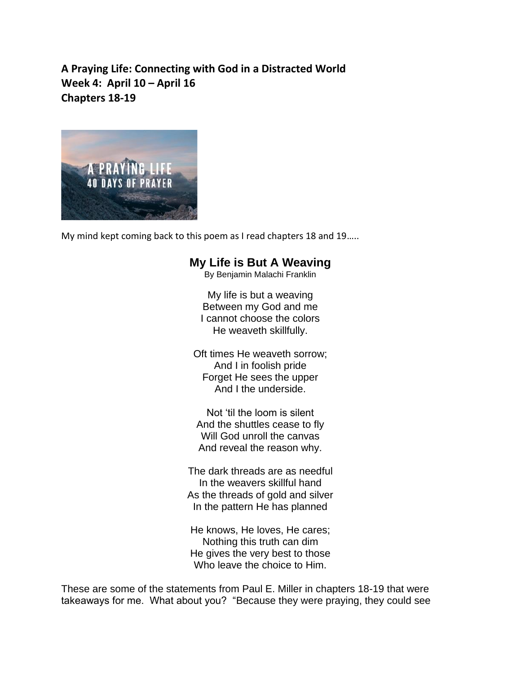**A Praying Life: Connecting with God in a Distracted World Week 4: April 10 – April 16 Chapters 18-19**



My mind kept coming back to this poem as I read chapters 18 and 19…..

## **My Life is But A Weaving**

By Benjamin Malachi Franklin

My life is but a weaving Between my God and me I cannot choose the colors He weaveth skillfully.

Oft times He weaveth sorrow; And I in foolish pride Forget He sees the upper And I the underside.

Not 'til the loom is silent And the shuttles cease to fly Will God unroll the canvas And reveal the reason why.

The dark threads are as needful In the weavers skillful hand As the threads of gold and silver In the pattern He has planned

He knows, He loves, He cares; Nothing this truth can dim He gives the very best to those Who leave the choice to Him.

These are some of the statements from Paul E. Miller in chapters 18-19 that were takeaways for me. What about you? "Because they were praying, they could see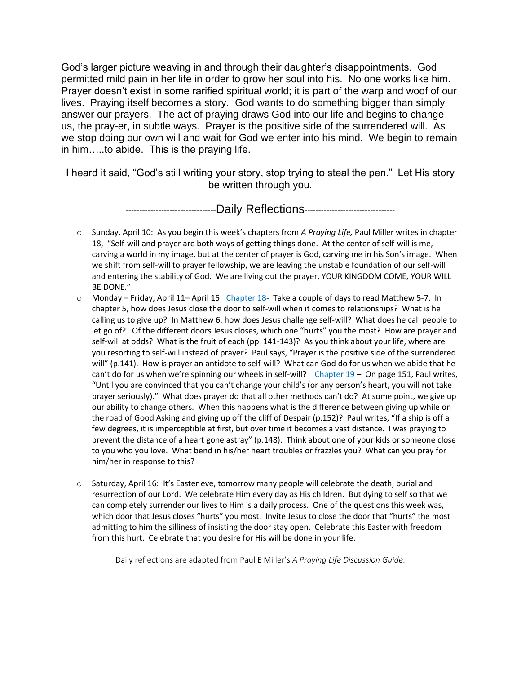God's larger picture weaving in and through their daughter's disappointments. God permitted mild pain in her life in order to grow her soul into his. No one works like him. Prayer doesn't exist in some rarified spiritual world; it is part of the warp and woof of our lives. Praying itself becomes a story. God wants to do something bigger than simply answer our prayers. The act of praying draws God into our life and begins to change us, the pray-er, in subtle ways. Prayer is the positive side of the surrendered will. As we stop doing our own will and wait for God we enter into his mind. We begin to remain in him…..to abide. This is the praying life.

I heard it said, "God's still writing your story, stop trying to steal the pen." Let His story be written through you.

---------------------------------Daily Reflections---------------------------------

- o Sunday, April 10: As you begin this week's chapters from *A Praying Life,* Paul Miller writes in chapter 18, "Self-will and prayer are both ways of getting things done. At the center of self-will is me, carving a world in my image, but at the center of prayer is God, carving me in his Son's image. When we shift from self-will to prayer fellowship, we are leaving the unstable foundation of our self-will and entering the stability of God. We are living out the prayer, YOUR KINGDOM COME, YOUR WILL BE DONE."
- o Monday Friday, April 11– April 15: Chapter 18- Take a couple of days to read Matthew 5-7. In chapter 5, how does Jesus close the door to self-will when it comes to relationships? What is he calling us to give up? In Matthew 6, how does Jesus challenge self-will? What does he call people to let go of? Of the different doors Jesus closes, which one "hurts" you the most? How are prayer and self-will at odds? What is the fruit of each (pp. 141-143)? As you think about your life, where are you resorting to self-will instead of prayer? Paul says, "Prayer is the positive side of the surrendered will" (p.141). How is prayer an antidote to self-will? What can God do for us when we abide that he can't do for us when we're spinning our wheels in self-will? Chapter  $19 -$  On page 151, Paul writes, "Until you are convinced that you can't change your child's (or any person's heart, you will not take prayer seriously)." What does prayer do that all other methods can't do? At some point, we give up our ability to change others. When this happens what is the difference between giving up while on the road of Good Asking and giving up off the cliff of Despair (p.152)? Paul writes, "If a ship is off a few degrees, it is imperceptible at first, but over time it becomes a vast distance. I was praying to prevent the distance of a heart gone astray" (p.148). Think about one of your kids or someone close to you who you love. What bend in his/her heart troubles or frazzles you? What can you pray for him/her in response to this?
- o Saturday, April 16: It's Easter eve, tomorrow many people will celebrate the death, burial and resurrection of our Lord. We celebrate Him every day as His children. But dying to self so that we can completely surrender our lives to Him is a daily process. One of the questions this week was, which door that Jesus closes "hurts" you most. Invite Jesus to close the door that "hurts" the most admitting to him the silliness of insisting the door stay open. Celebrate this Easter with freedom from this hurt. Celebrate that you desire for His will be done in your life.

Daily reflections are adapted from Paul E Miller's *A Praying Life Discussion Guide*.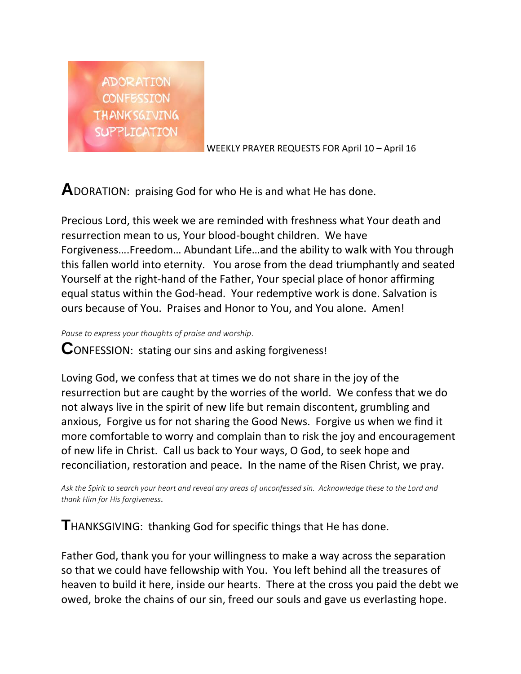

WEEKLY PRAYER REQUESTS FOR April 10 – April 16

**A**DORATION: praising God for who He is and what He has done.

Precious Lord, this week we are reminded with freshness what Your death and resurrection mean to us, Your blood-bought children. We have Forgiveness….Freedom… Abundant Life…and the ability to walk with You through this fallen world into eternity. You arose from the dead triumphantly and seated Yourself at the right-hand of the Father, Your special place of honor affirming equal status within the God-head. Your redemptive work is done. Salvation is ours because of You. Praises and Honor to You, and You alone. Amen!

*Pause to express your thoughts of praise and worship*.

**C**ONFESSION: stating our sins and asking forgiveness!

Loving God, we confess that at times we do not share in the joy of the resurrection but are caught by the worries of the world. We confess that we do not always live in the spirit of new life but remain discontent, grumbling and anxious, Forgive us for not sharing the Good News. Forgive us when we find it more comfortable to worry and complain than to risk the joy and encouragement of new life in Christ. Call us back to Your ways, O God, to seek hope and reconciliation, restoration and peace. In the name of the Risen Christ, we pray.

Ask the Spirit to search your heart and reveal any areas of unconfessed sin. Acknowledge these to the Lord and *thank Him for His forgiveness*.

**T**HANKSGIVING: thanking God for specific things that He has done.

Father God, thank you for your willingness to make a way across the separation so that we could have fellowship with You. You left behind all the treasures of heaven to build it here, inside our hearts. There at the cross you paid the debt we owed, broke the chains of our sin, freed our souls and gave us everlasting hope.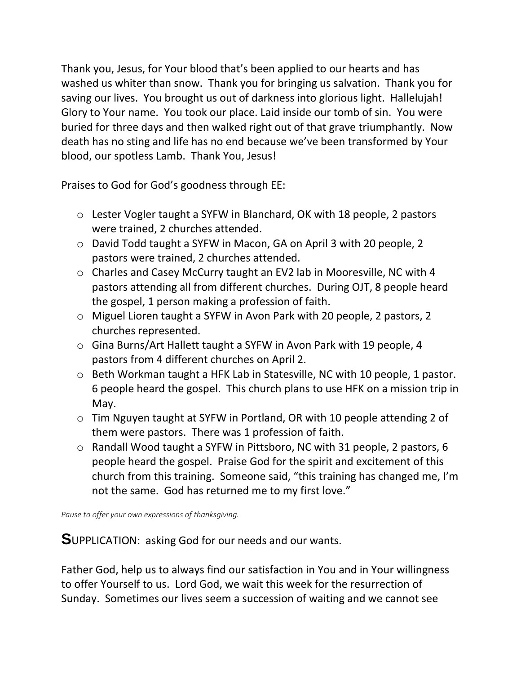Thank you, Jesus, for Your blood that's been applied to our hearts and has washed us whiter than snow. Thank you for bringing us salvation. Thank you for saving our lives. You brought us out of darkness into glorious light. Hallelujah! Glory to Your name. You took our place. Laid inside our tomb of sin. You were buried for three days and then walked right out of that grave triumphantly. Now death has no sting and life has no end because we've been transformed by Your blood, our spotless Lamb. Thank You, Jesus!

Praises to God for God's goodness through EE:

- o Lester Vogler taught a SYFW in Blanchard, OK with 18 people, 2 pastors were trained, 2 churches attended.
- o David Todd taught a SYFW in Macon, GA on April 3 with 20 people, 2 pastors were trained, 2 churches attended.
- o Charles and Casey McCurry taught an EV2 lab in Mooresville, NC with 4 pastors attending all from different churches. During OJT, 8 people heard the gospel, 1 person making a profession of faith.
- o Miguel Lioren taught a SYFW in Avon Park with 20 people, 2 pastors, 2 churches represented.
- o Gina Burns/Art Hallett taught a SYFW in Avon Park with 19 people, 4 pastors from 4 different churches on April 2.
- o Beth Workman taught a HFK Lab in Statesville, NC with 10 people, 1 pastor. 6 people heard the gospel. This church plans to use HFK on a mission trip in May.
- o Tim Nguyen taught at SYFW in Portland, OR with 10 people attending 2 of them were pastors. There was 1 profession of faith.
- o Randall Wood taught a SYFW in Pittsboro, NC with 31 people, 2 pastors, 6 people heard the gospel. Praise God for the spirit and excitement of this church from this training. Someone said, "this training has changed me, I'm not the same. God has returned me to my first love."

*Pause to offer your own expressions of thanksgiving.*

**S**UPPLICATION: asking God for our needs and our wants.

Father God, help us to always find our satisfaction in You and in Your willingness to offer Yourself to us. Lord God, we wait this week for the resurrection of Sunday. Sometimes our lives seem a succession of waiting and we cannot see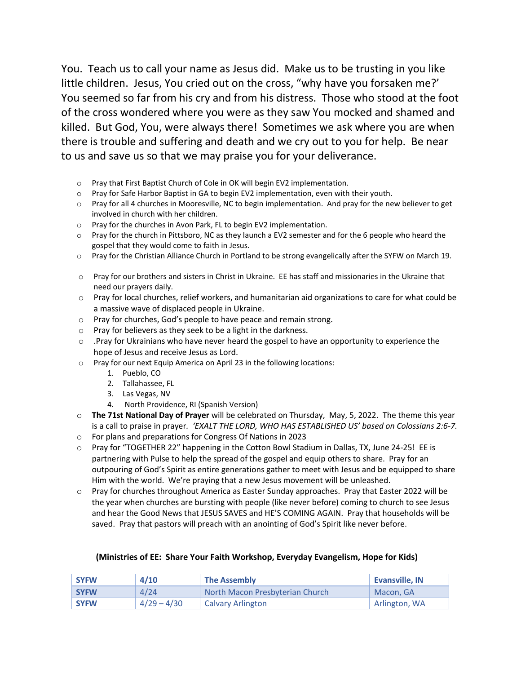You. Teach us to call your name as Jesus did. Make us to be trusting in you like little children. Jesus, You cried out on the cross, "why have you forsaken me?' You seemed so far from his cry and from his distress. Those who stood at the foot of the cross wondered where you were as they saw You mocked and shamed and killed. But God, You, were always there! Sometimes we ask where you are when there is trouble and suffering and death and we cry out to you for help. Be near to us and save us so that we may praise you for your deliverance.

- o Pray that First Baptist Church of Cole in OK will begin EV2 implementation.
- $\circ$  Pray for Safe Harbor Baptist in GA to begin EV2 implementation, even with their youth.
- o Pray for all 4 churches in Mooresville, NC to begin implementation. And pray for the new believer to get involved in church with her children.
- o Pray for the churches in Avon Park, FL to begin EV2 implementation.
- $\circ$  Pray for the church in Pittsboro, NC as they launch a EV2 semester and for the 6 people who heard the gospel that they would come to faith in Jesus.
- o Pray for the Christian Alliance Church in Portland to be strong evangelically after the SYFW on March 19.
- o Pray for our brothers and sisters in Christ in Ukraine. EE has staff and missionaries in the Ukraine that need our prayers daily.
- o Pray for local churches, relief workers, and humanitarian aid organizations to care for what could be a massive wave of displaced people in Ukraine.
- o Pray for churches, God's people to have peace and remain strong.
- o Pray for believers as they seek to be a light in the darkness.
- $\circ$  . Pray for Ukrainians who have never heard the gospel to have an opportunity to experience the hope of Jesus and receive Jesus as Lord.
- o Pray for our next Equip America on April 23 in the following locations:
	- 1. Pueblo, CO
	- 2. Tallahassee, FL
	- 3. Las Vegas, NV
	- 4. North Providence, RI (Spanish Version)
- o **The 71st National Day of Prayer** will be celebrated on Thursday, May, 5, 2022. The theme this year is a call to praise in prayer*. 'EXALT THE LORD, WHO HAS ESTABLISHED US' based on Colossians 2:6-7.*
- o For plans and preparations for Congress Of Nations in 2023
- o Pray for "TOGETHER 22" happening in the Cotton Bowl Stadium in Dallas, TX, June 24-25! EE is partnering with Pulse to help the spread of the gospel and equip others to share. Pray for an outpouring of God's Spirit as entire generations gather to meet with Jesus and be equipped to share Him with the world. We're praying that a new Jesus movement will be unleashed.
- o Pray for churches throughout America as Easter Sunday approaches. Pray that Easter 2022 will be the year when churches are bursting with people (like never before) coming to church to see Jesus and hear the Good News that JESUS SAVES and HE'S COMING AGAIN. Pray that households will be saved. Pray that pastors will preach with an anointing of God's Spirit like never before.

## **(Ministries of EE: Share Your Faith Workshop, Everyday Evangelism, Hope for Kids)**

| <b>SYFW</b> | 4/10          | <b>The Assembly</b>             | <b>Evansville, IN</b> |
|-------------|---------------|---------------------------------|-----------------------|
| <b>SYFW</b> | 4/24          | North Macon Presbyterian Church | Macon, GA             |
| <b>SYFW</b> | $4/29 - 4/30$ | <b>Calvary Arlington</b>        | Arlington, WA         |